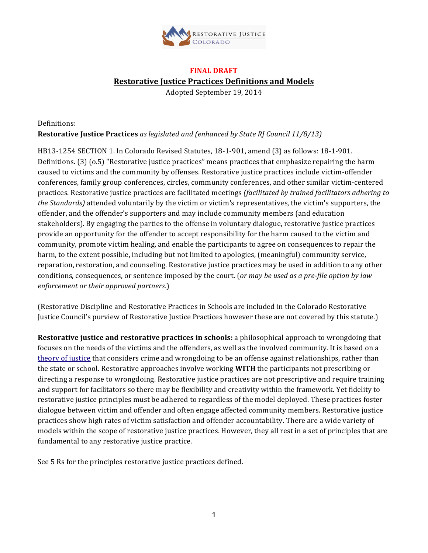

# **FINAL DRAFT**

**Restorative Justice Practices Definitions and Models** 

Adopted September 19, 2014

Definitions: **Restorative Justice Practices** as legislated and (enhanced by State RJ Council 11/8/13)

HB13-1254 SECTION 1. In Colorado Revised Statutes, 18-1-901, amend (3) as follows: 18-1-901. Definitions. (3) (o.5) "Restorative justice practices" means practices that emphasize repairing the harm caused to victims and the community by offenses. Restorative justice practices include victim-offender conferences, family group conferences, circles, community conferences, and other similar victim-centered practices. Restorative justice practices are facilitated meetings *(facilitated by trained facilitators adhering to the Standards*) attended voluntarily by the victim or victim's representatives, the victim's supporters, the offender, and the offender's supporters and may include community members (and education stakeholders). By engaging the parties to the offense in voluntary dialogue, restorative justice practices provide an opportunity for the offender to accept responsibility for the harm caused to the victim and community, promote victim healing, and enable the participants to agree on consequences to repair the harm, to the extent possible, including but not limited to apologies, (meaningful) community service, reparation, restoration, and counseling. Restorative justice practices may be used in addition to any other conditions, consequences, or sentence imposed by the court. (*or may be used as a pre-file option by law enforcement or their approved partners.*)

(Restorative Discipline and Restorative Practices in Schools are included in the Colorado Restorative Justice Council's purview of Restorative Justice Practices however these are not covered by this statute.)

**Restorative justice and restorative practices in schools:** a philosophical approach to wrongdoing that focuses on the needs of the victims and the offenders, as well as the involved community. It is based on a theory of justice that considers crime and wrongdoing to be an offense against relationships, rather than the state or school. Restorative approaches involve working **WITH** the participants not prescribing or directing a response to wrongdoing. Restorative justice practices are not prescriptive and require training and support for facilitators so there may be flexibility and creativity within the framework. Yet fidelity to restorative justice principles must be adhered to regardless of the model deployed. These practices foster dialogue between victim and offender and often engage affected community members. Restorative justice practices show high rates of victim satisfaction and offender accountability. There are a wide variety of models within the scope of restorative justice practices. However, they all rest in a set of principles that are fundamental to any restorative justice practice.

See 5 Rs for the principles restorative justice practices defined.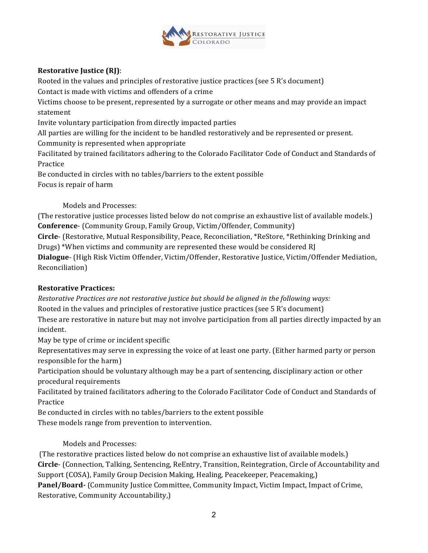

# **Restorative Justice (RJ):**

Rooted in the values and principles of restorative justice practices (see 5 R's document)

Contact is made with victims and offenders of a crime

Victims choose to be present, represented by a surrogate or other means and may provide an impact statement

Invite voluntary participation from directly impacted parties

All parties are willing for the incident to be handled restoratively and be represented or present.

Community is represented when appropriate

Facilitated by trained facilitators adhering to the Colorado Facilitator Code of Conduct and Standards of Practice

Be conducted in circles with no tables/barriers to the extent possible Focus is repair of harm

Models and Processes:

(The restorative justice processes listed below do not comprise an exhaustive list of available models.) **Conference-** (Community Group, Family Group, Victim/Offender, Community)

**Circle**- (Restorative, Mutual Responsibility, Peace, Reconciliation, \*ReStore, \*Rethinking Drinking and Drugs) \*When victims and community are represented these would be considered RJ

Dialogue- (High Risk Victim Offender, Victim/Offender, Restorative Justice, Victim/Offender Mediation, Reconciliation)

## **Restorative Practices:**

*Restorative Practices are not restorative justice but should be aligned in the following ways:* 

Rooted in the values and principles of restorative justice practices (see  $5 \text{ R's document}$ )

These are restorative in nature but may not involve participation from all parties directly impacted by an incident.

May be type of crime or incident specific

Representatives may serve in expressing the voice of at least one party. (Either harmed party or person responsible for the harm)

Participation should be voluntary although may be a part of sentencing, disciplinary action or other procedural requirements

Facilitated by trained facilitators adhering to the Colorado Facilitator Code of Conduct and Standards of Practice

Be conducted in circles with no tables/barriers to the extent possible These models range from prevention to intervention.

Models and Processes:

(The restorative practices listed below do not comprise an exhaustive list of available models.) **Circle**- (Connection, Talking, Sentencing, ReEntry, Transition, Reintegration, Circle of Accountability and Support (COSA), Family Group Decision Making, Healing, Peacekeeper, Peacemaking,) **Panel/Board-** (Community Justice Committee, Community Impact, Victim Impact, Impact of Crime, Restorative, Community Accountability,)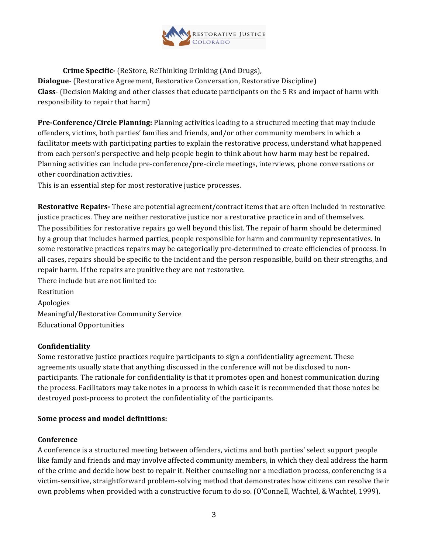

**Crime Specific-** (ReStore, ReThinking Drinking (And Drugs), **Dialogue-** (Restorative Agreement, Restorative Conversation, Restorative Discipline) **Class**- (Decision Making and other classes that educate participants on the 5 Rs and impact of harm with responsibility to repair that harm)

**Pre-Conference/Circle Planning:** Planning activities leading to a structured meeting that may include offenders, victims, both parties' families and friends, and/or other community members in which a facilitator meets with participating parties to explain the restorative process, understand what happened from each person's perspective and help people begin to think about how harm may best be repaired. Planning activities can include pre-conference/pre-circle meetings, interviews, phone conversations or other coordination activities.

This is an essential step for most restorative justice processes.

**Restorative Repairs-** These are potential agreement/contract items that are often included in restorative justice practices. They are neither restorative justice nor a restorative practice in and of themselves. The possibilities for restorative repairs go well beyond this list. The repair of harm should be determined by a group that includes harmed parties, people responsible for harm and community representatives. In some restorative practices repairs may be categorically pre-determined to create efficiencies of process. In all cases, repairs should be specific to the incident and the person responsible, build on their strengths, and repair harm. If the repairs are punitive they are not restorative.

There include but are not limited to: Restitution Apologies Meaningful/Restorative Community Service Educational Opportunities

## **Confidentiality**

Some restorative justice practices require participants to sign a confidentiality agreement. These agreements usually state that anything discussed in the conference will not be disclosed to nonparticipants. The rationale for confidentiality is that it promotes open and honest communication during the process. Facilitators may take notes in a process in which case it is recommended that those notes be destroyed post-process to protect the confidentiality of the participants.

#### **Some process and model definitions:**

#### **Conference**

A conference is a structured meeting between offenders, victims and both parties' select support people like family and friends and may involve affected community members, in which they deal address the harm of the crime and decide how best to repair it. Neither counseling nor a mediation process, conferencing is a victim-sensitive, straightforward problem-solving method that demonstrates how citizens can resolve their own problems when provided with a constructive forum to do so. (O'Connell, Wachtel, & Wachtel, 1999).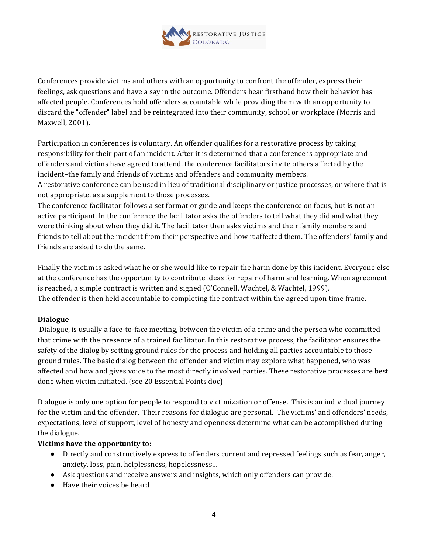

Conferences provide victims and others with an opportunity to confront the offender, express their feelings, ask questions and have a say in the outcome. Offenders hear firsthand how their behavior has affected people. Conferences hold offenders accountable while providing them with an opportunity to discard the "offender" label and be reintegrated into their community, school or workplace (Morris and Maxwell, 2001).

Participation in conferences is voluntary. An offender qualifies for a restorative process by taking responsibility for their part of an incident. After it is determined that a conference is appropriate and offenders and victims have agreed to attend, the conference facilitators invite others affected by the incident–the family and friends of victims and offenders and community members.

A restorative conference can be used in lieu of traditional disciplinary or justice processes, or where that is not appropriate, as a supplement to those processes.

The conference facilitator follows a set format or guide and keeps the conference on focus, but is not an active participant. In the conference the facilitator asks the offenders to tell what they did and what they were thinking about when they did it. The facilitator then asks victims and their family members and friends to tell about the incident from their perspective and how it affected them. The offenders' family and friends are asked to do the same.

Finally the victim is asked what he or she would like to repair the harm done by this incident. Everyone else at the conference has the opportunity to contribute ideas for repair of harm and learning. When agreement is reached, a simple contract is written and signed (O'Connell, Wachtel, & Wachtel, 1999). The offender is then held accountable to completing the contract within the agreed upon time frame.

## **Dialogue**

Dialogue, is usually a face-to-face meeting, between the victim of a crime and the person who committed that crime with the presence of a trained facilitator. In this restorative process, the facilitator ensures the safety of the dialog by setting ground rules for the process and holding all parties accountable to those ground rules. The basic dialog between the offender and victim may explore what happened, who was affected and how and gives voice to the most directly involved parties. These restorative processes are best done when victim initiated. (see 20 Essential Points doc)

Dialogue is only one option for people to respond to victimization or offense. This is an individual journey for the victim and the offender. Their reasons for dialogue are personal. The victims' and offenders' needs, expectations, level of support, level of honesty and openness determine what can be accomplished during the dialogue.

## **Victims have the opportunity to:**

- Directly and constructively express to offenders current and repressed feelings such as fear, anger, anxiety, loss, pain, helplessness, hopelessness...
- Ask questions and receive answers and insights, which only offenders can provide.
- Have their voices be heard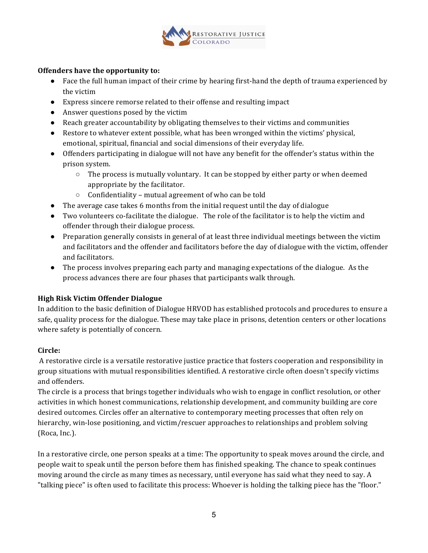

## **Offenders have the opportunity to:**

- Face the full human impact of their crime by hearing first-hand the depth of trauma experienced by the victim
- Express sincere remorse related to their offense and resulting impact
- Answer questions posed by the victim
- Reach greater accountability by obligating themselves to their victims and communities
- Restore to whatever extent possible, what has been wronged within the victims' physical, emotional, spiritual, financial and social dimensions of their everyday life.
- Offenders participating in dialogue will not have any benefit for the offender's status within the prison system.
	- $\circ$  The process is mutually voluntary. It can be stopped by either party or when deemed appropriate by the facilitator.
	- $\circ$  Confidentiality mutual agreement of who can be told
- $\bullet$  The average case takes 6 months from the initial request until the day of dialogue
- Two volunteers co-facilitate the dialogue. The role of the facilitator is to help the victim and offender through their dialogue process.
- Preparation generally consists in general of at least three individual meetings between the victim and facilitators and the offender and facilitators before the day of dialogue with the victim, offender and facilitators.
- The process involves preparing each party and managing expectations of the dialogue. As the process advances there are four phases that participants walk through.

## **High Risk Victim Offender Dialogue**

In addition to the basic definition of Dialogue HRVOD has established protocols and procedures to ensure a safe, quality process for the dialogue. These may take place in prisons, detention centers or other locations where safety is potentially of concern.

# **Circle:**

A restorative circle is a versatile restorative justice practice that fosters cooperation and responsibility in group situations with mutual responsibilities identified. A restorative circle often doesn't specify victims and offenders.

The circle is a process that brings together individuals who wish to engage in conflict resolution, or other activities in which honest communications, relationship development, and community building are core desired outcomes. Circles offer an alternative to contemporary meeting processes that often rely on hierarchy, win-lose positioning, and victim/rescuer approaches to relationships and problem solving (Roca, Inc.).

In a restorative circle, one person speaks at a time: The opportunity to speak moves around the circle, and people wait to speak until the person before them has finished speaking. The chance to speak continues moving around the circle as many times as necessary, until everyone has said what they need to say. A "talking piece" is often used to facilitate this process: Whoever is holding the talking piece has the "floor."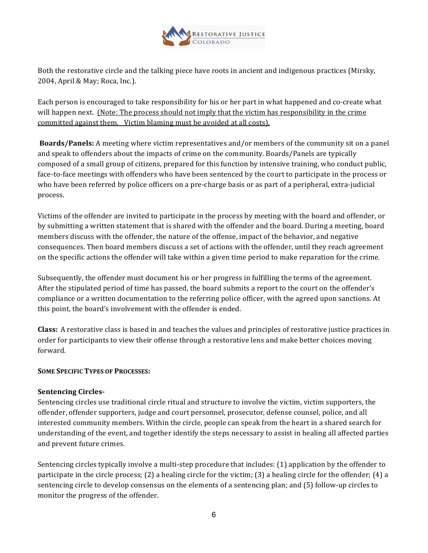

Both the restorative circle and the talking piece have roots in ancient and indigenous practices (Mirsky, 2004, April & May; Roca, Inc.).

Each person is encouraged to take responsibility for his or her part in what happened and co-create what will happen next. (Note: The process should not imply that the victim has responsibility in the crime committed against them. Victim blaming must be avoided at all costs).

**Boards/Panels:** A meeting where victim representatives and/or members of the community sit on a panel and speak to offenders about the impacts of crime on the community. Boards/Panels are typically composed of a small group of citizens, prepared for this function by intensive training, who conduct public, face-to-face meetings with offenders who have been sentenced by the court to participate in the process or who have been referred by police officers on a pre-charge basis or as part of a peripheral, extra-judicial process.

Victims of the offender are invited to participate in the process by meeting with the board and offender, or by submitting a written statement that is shared with the offender and the board. During a meeting, board members discuss with the offender, the nature of the offense, impact of the behavior, and negative consequences. Then board members discuss a set of actions with the offender, until they reach agreement on the specific actions the offender will take within a given time period to make reparation for the crime.

Subsequently, the offender must document his or her progress in fulfilling the terms of the agreement. After the stipulated period of time has passed, the board submits a report to the court on the offender's compliance or a written documentation to the referring police officer, with the agreed upon sanctions. At this point, the board's involvement with the offender is ended.

**Class:** A restorative class is based in and teaches the values and principles of restorative justice practices in order for participants to view their offense through a restorative lens and make better choices moving forward.

## **SOME SPECIFIC TYPES OF PROCESSES:**

## **Sentencing Circles-**

Sentencing circles use traditional circle ritual and structure to involve the victim, victim supporters, the offender, offender supporters, judge and court personnel, prosecutor, defense counsel, police, and all interested community members. Within the circle, people can speak from the heart in a shared search for understanding of the event, and together identify the steps necessary to assist in healing all affected parties and prevent future crimes.

Sentencing circles typically involve a multi-step procedure that includes: (1) application by the offender to participate in the circle process; (2) a healing circle for the victim; (3) a healing circle for the offender; (4) a sentencing circle to develop consensus on the elements of a sentencing plan; and (5) follow-up circles to monitor the progress of the offender.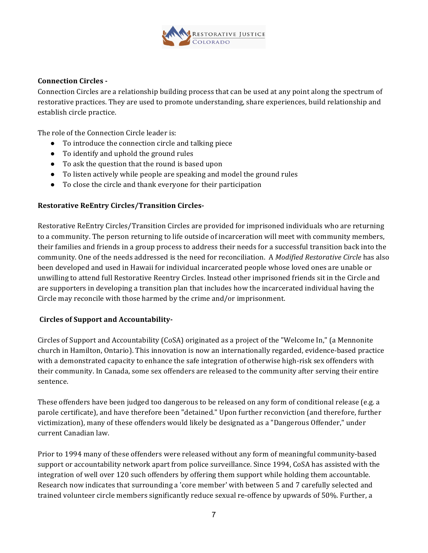

#### **Connection Circles -**

Connection Circles are a relationship building process that can be used at any point along the spectrum of restorative practices. They are used to promote understanding, share experiences, build relationship and establish circle practice.

The role of the Connection Circle leader is:

- To introduce the connection circle and talking piece
- To identify and uphold the ground rules
- To ask the question that the round is based upon
- To listen actively while people are speaking and model the ground rules
- To close the circle and thank everyone for their participation

## **Restorative ReEntry Circles/Transition Circles-**

Restorative ReEntry Circles/Transition Circles are provided for imprisoned individuals who are returning to a community. The person returning to life outside of incarceration will meet with community members, their families and friends in a group process to address their needs for a successful transition back into the community. One of the needs addressed is the need for reconciliation. A Modified Restorative Circle has also been developed and used in Hawaii for individual incarcerated people whose loved ones are unable or unwilling to attend full Restorative Reentry Circles. Instead other imprisoned friends sit in the Circle and are supporters in developing a transition plan that includes how the incarcerated individual having the Circle may reconcile with those harmed by the crime and/or imprisonment.

#### Circles of Support and Accountability-

Circles of Support and Accountability (CoSA) originated as a project of the "Welcome In," (a Mennonite church in Hamilton, Ontario). This innovation is now an internationally regarded, evidence-based practice with a demonstrated capacity to enhance the safe integration of otherwise high-risk sex offenders with their community. In Canada, some sex offenders are released to the community after serving their entire sentence.

These offenders have been judged too dangerous to be released on any form of conditional release (e.g. a parole certificate), and have therefore been "detained." Upon further reconviction (and therefore, further victimization), many of these offenders would likely be designated as a "Dangerous Offender," under current Canadian law.

Prior to 1994 many of these offenders were released without any form of meaningful community-based support or accountability network apart from police surveillance. Since 1994, CoSA has assisted with the integration of well over 120 such offenders by offering them support while holding them accountable. Research now indicates that surrounding a 'core member' with between 5 and 7 carefully selected and trained volunteer circle members significantly reduce sexual re-offence by upwards of 50%. Further, a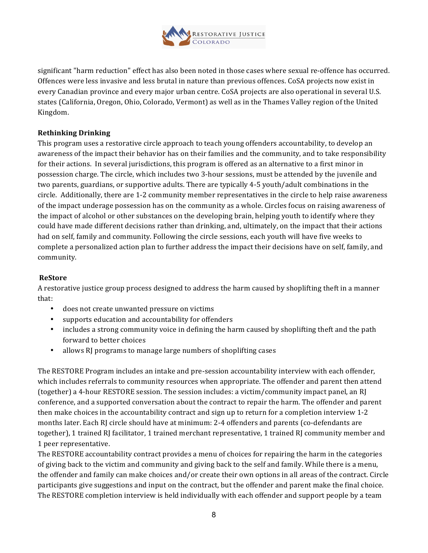

significant "harm reduction" effect has also been noted in those cases where sexual re-offence has occurred. Offences were less invasive and less brutal in nature than previous offences. CoSA projects now exist in every Canadian province and every major urban centre. CoSA projects are also operational in several U.S. states (California, Oregon, Ohio, Colorado, Vermont) as well as in the Thames Valley region of the United Kingdom.

## **Rethinking Drinking**

This program uses a restorative circle approach to teach young offenders accountability, to develop an awareness of the impact their behavior has on their families and the community, and to take responsibility for their actions. In several jurisdictions, this program is offered as an alternative to a first minor in possession charge. The circle, which includes two 3-hour sessions, must be attended by the juvenile and two parents, guardians, or supportive adults. There are typically 4-5 youth/adult combinations in the circle. Additionally, there are 1-2 community member representatives in the circle to help raise awareness of the impact underage possession has on the community as a whole. Circles focus on raising awareness of the impact of alcohol or other substances on the developing brain, helping youth to identify where they could have made different decisions rather than drinking, and, ultimately, on the impact that their actions had on self, family and community. Following the circle sessions, each youth will have five weeks to complete a personalized action plan to further address the impact their decisions have on self, family, and community.

#### **ReStore**

A restorative justice group process designed to address the harm caused by shoplifting theft in a manner that:

- does not create unwanted pressure on victims
- supports education and accountability for offenders
- includes a strong community voice in defining the harm caused by shoplifting theft and the path forward to better choices
- allows RI programs to manage large numbers of shoplifting cases

The RESTORE Program includes an intake and pre-session accountability interview with each offender, which includes referrals to community resources when appropriate. The offender and parent then attend (together) a 4-hour RESTORE session. The session includes: a victim/community impact panel, an RJ conference, and a supported conversation about the contract to repair the harm. The offender and parent then make choices in the accountability contract and sign up to return for a completion interview 1-2 months later. Each RJ circle should have at minimum: 2-4 offenders and parents (co-defendants are together), 1 trained RJ facilitator, 1 trained merchant representative, 1 trained RJ community member and 1 peer representative. 

The RESTORE accountability contract provides a menu of choices for repairing the harm in the categories of giving back to the victim and community and giving back to the self and family. While there is a menu, the offender and family can make choices and/or create their own options in all areas of the contract. Circle participants give suggestions and input on the contract, but the offender and parent make the final choice. The RESTORE completion interview is held individually with each offender and support people by a team